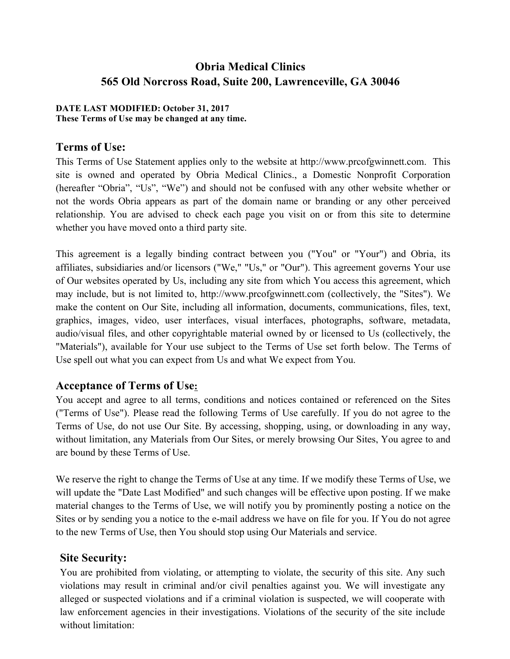# **Obria Medical Clinics 565 Old Norcross Road, Suite 200, Lawrenceville, GA 30046**

#### **DATE LAST MODIFIED: October 31, 2017 These Terms of Use may be changed at any time.**

### **Terms of Use:**

This Terms of Use Statement applies only to the website at http://www.prcofgwinnett.com. This site is owned and operated by Obria Medical Clinics., a Domestic Nonprofit Corporation (hereafter "Obria", "Us", "We") and should not be confused with any other website whether or not the words Obria appears as part of the domain name or branding or any other perceived relationship. You are advised to check each page you visit on or from this site to determine whether you have moved onto a third party site.

This agreement is a legally binding contract between you ("You" or "Your") and Obria, its affiliates, subsidiaries and/or licensors ("We," "Us," or "Our"). This agreement governs Your use of Our websites operated by Us, including any site from which You access this agreement, which may include, but is not limited to, http://www.prcofgwinnett.com (collectively, the "Sites"). We make the content on Our Site, including all information, documents, communications, files, text, graphics, images, video, user interfaces, visual interfaces, photographs, software, metadata, audio/visual files, and other copyrightable material owned by or licensed to Us (collectively, the "Materials"), available for Your use subject to the Terms of Use set forth below. The Terms of Use spell out what you can expect from Us and what We expect from You.

#### **Acceptance of Terms of Use:**

You accept and agree to all terms, conditions and notices contained or referenced on the Sites ("Terms of Use"). Please read the following Terms of Use carefully. If you do not agree to the Terms of Use, do not use Our Site. By accessing, shopping, using, or downloading in any way, without limitation, any Materials from Our Sites, or merely browsing Our Sites, You agree to and are bound by these Terms of Use.

We reserve the right to change the Terms of Use at any time. If we modify these Terms of Use, we will update the "Date Last Modified" and such changes will be effective upon posting. If we make material changes to the Terms of Use, we will notify you by prominently posting a notice on the Sites or by sending you a notice to the e-mail address we have on file for you. If You do not agree to the new Terms of Use, then You should stop using Our Materials and service.

### **Site Security:**

You are prohibited from violating, or attempting to violate, the security of this site. Any such violations may result in criminal and/or civil penalties against you. We will investigate any alleged or suspected violations and if a criminal violation is suspected, we will cooperate with law enforcement agencies in their investigations. Violations of the security of the site include without limitation: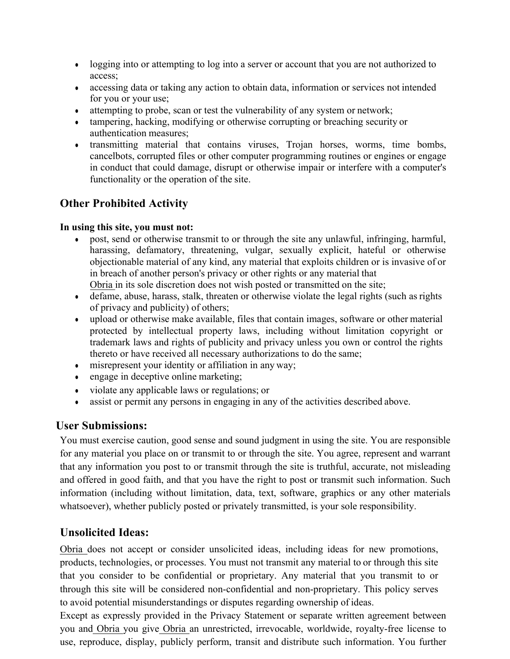- logging into or attempting to log into a server or account that you are not authorized to access;
- accessing data or taking any action to obtain data, information or services not intended for you or your use;
- attempting to probe, scan or test the vulnerability of any system or network;
- tampering, hacking, modifying or otherwise corrupting or breaching security or authentication measures;
- transmitting material that contains viruses, Trojan horses, worms, time bombs, cancelbots, corrupted files or other computer programming routines or engines or engage in conduct that could damage, disrupt or otherwise impair or interfere with a computer's functionality or the operation of the site.

# **Other Prohibited Activity**

#### **In using this site, you must not:**

- post, send or otherwise transmit to or through the site any unlawful, infringing, harmful, harassing, defamatory, threatening, vulgar, sexually explicit, hateful or otherwise objectionable material of any kind, any material that exploits children or is invasive of or in breach of another person's privacy or other rights or any material that Obria in its sole discretion does not wish posted or transmitted on the site;
- defame, abuse, harass, stalk, threaten or otherwise violate the legal rights (such as rights of privacy and publicity) of others;
- upload or otherwise make available, files that contain images, software or other material protected by intellectual property laws, including without limitation copyright or trademark laws and rights of publicity and privacy unless you own or control the rights thereto or have received all necessary authorizations to do the same;
- misrepresent your identity or affiliation in any way;
- engage in deceptive online marketing;
- violate any applicable laws or regulations; or
- assist or permit any persons in engaging in any of the activities described above.

### **User Submissions:**

You must exercise caution, good sense and sound judgment in using the site. You are responsible for any material you place on or transmit to or through the site. You agree, represent and warrant that any information you post to or transmit through the site is truthful, accurate, not misleading and offered in good faith, and that you have the right to post or transmit such information. Such information (including without limitation, data, text, software, graphics or any other materials whatsoever), whether publicly posted or privately transmitted, is your sole responsibility.

### **Unsolicited Ideas:**

Obria does not accept or consider unsolicited ideas, including ideas for new promotions, products, technologies, or processes. You must not transmit any material to or through this site that you consider to be confidential or proprietary. Any material that you transmit to or through this site will be considered non-confidential and non-proprietary. This policy serves to avoid potential misunderstandings or disputes regarding ownership of ideas.

Except as expressly provided in the Privacy Statement or separate written agreement between you and Obria you give Obria an unrestricted, irrevocable, worldwide, royalty-free license to use, reproduce, display, publicly perform, transit and distribute such information. You further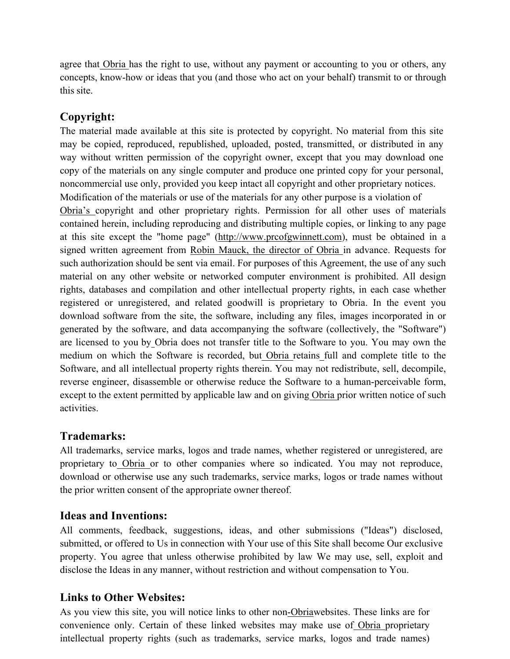agree that Obria has the right to use, without any payment or accounting to you or others, any concepts, know-how or ideas that you (and those who act on your behalf) transmit to or through this site.

# **Copyright:**

The material made available at this site is protected by copyright. No material from this site may be copied, reproduced, republished, uploaded, posted, transmitted, or distributed in any way without written permission of the copyright owner, except that you may download one copy of the materials on any single computer and produce one printed copy for your personal, noncommercial use only, provided you keep intact all copyright and other proprietary notices. Modification of the materials or use of the materials for any other purpose is a violation of Obria's copyright and other proprietary rights. Permission for all other uses of materials contained herein, including reproducing and distributing multiple copies, or linking to any page at this site except the "home page" (http://www.prcofgwinnett.com), must be obtained in a signed written agreement from Robin Mauck, the director of Obria in advance. Requests for such authorization should be sent via email. For purposes of this Agreement, the use of any such material on any other website or networked computer environment is prohibited. All design rights, databases and compilation and other intellectual property rights, in each case whether registered or unregistered, and related goodwill is proprietary to Obria. In the event you download software from the site, the software, including any files, images incorporated in or generated by the software, and data accompanying the software (collectively, the "Software") are licensed to you by Obria does not transfer title to the Software to you. You may own the medium on which the Software is recorded, but Obria retains full and complete title to the Software, and all intellectual property rights therein. You may not redistribute, sell, decompile, reverse engineer, disassemble or otherwise reduce the Software to a human-perceivable form, except to the extent permitted by applicable law and on giving Obria prior written notice of such activities.

### **Trademarks:**

All trademarks, service marks, logos and trade names, whether registered or unregistered, are proprietary to Obria or to other companies where so indicated. You may not reproduce, download or otherwise use any such trademarks, service marks, logos or trade names without the prior written consent of the appropriate owner thereof.

### **Ideas and Inventions:**

All comments, feedback, suggestions, ideas, and other submissions ("Ideas") disclosed, submitted, or offered to Us in connection with Your use of this Site shall become Our exclusive property. You agree that unless otherwise prohibited by law We may use, sell, exploit and disclose the Ideas in any manner, without restriction and without compensation to You.

### **Links to Other Websites:**

As you view this site, you will notice links to other non-Obriawebsites. These links are for convenience only. Certain of these linked websites may make use of Obria proprietary intellectual property rights (such as trademarks, service marks, logos and trade names)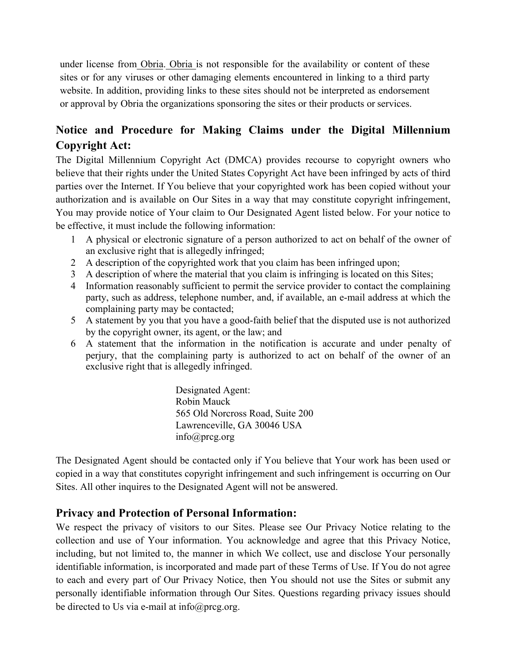under license from Obria. Obria is not responsible for the availability or content of these sites or for any viruses or other damaging elements encountered in linking to a third party website. In addition, providing links to these sites should not be interpreted as endorsement or approval by Obria the organizations sponsoring the sites or their products or services.

# **Notice and Procedure for Making Claims under the Digital Millennium Copyright Act:**

The Digital Millennium Copyright Act (DMCA) provides recourse to copyright owners who believe that their rights under the United States Copyright Act have been infringed by acts of third parties over the Internet. If You believe that your copyrighted work has been copied without your authorization and is available on Our Sites in a way that may constitute copyright infringement, You may provide notice of Your claim to Our Designated Agent listed below. For your notice to be effective, it must include the following information:

- 1 A physical or electronic signature of a person authorized to act on behalf of the owner of an exclusive right that is allegedly infringed;
- 2 A description of the copyrighted work that you claim has been infringed upon;
- 3 A description of where the material that you claim is infringing is located on this Sites;
- 4 Information reasonably sufficient to permit the service provider to contact the complaining party, such as address, telephone number, and, if available, an e-mail address at which the complaining party may be contacted;
- 5 A statement by you that you have a good-faith belief that the disputed use is not authorized by the copyright owner, its agent, or the law; and
- 6 A statement that the information in the notification is accurate and under penalty of perjury, that the complaining party is authorized to act on behalf of the owner of an exclusive right that is allegedly infringed.

Designated Agent: Robin Mauck 565 Old Norcross Road, Suite 200 Lawrenceville, GA 30046 USA info@prcg.org

The Designated Agent should be contacted only if You believe that Your work has been used or copied in a way that constitutes copyright infringement and such infringement is occurring on Our Sites. All other inquires to the Designated Agent will not be answered.

# **Privacy and Protection of Personal Information:**

We respect the privacy of visitors to our Sites. Please see Our Privacy Notice relating to the collection and use of Your information. You acknowledge and agree that this Privacy Notice, including, but not limited to, the manner in which We collect, use and disclose Your personally identifiable information, is incorporated and made part of these Terms of Use. If You do not agree to each and every part of Our Privacy Notice, then You should not use the Sites or submit any personally identifiable information through Our Sites. Questions regarding privacy issues should be directed to Us via e-mail at  $info@prog.org$ .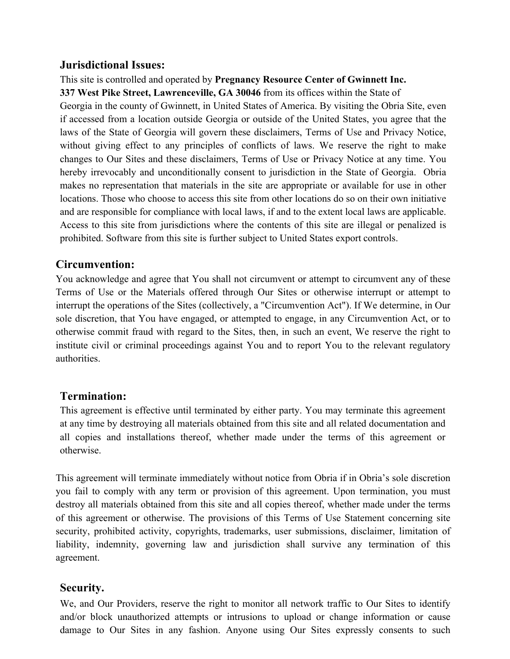#### **Jurisdictional Issues:**

## This site is controlled and operated by **Pregnancy Resource Center of Gwinnett Inc.**

**337 West Pike Street, Lawrenceville, GA 30046** from its offices within the State of

Georgia in the county of Gwinnett, in United States of America. By visiting the Obria Site, even if accessed from a location outside Georgia or outside of the United States, you agree that the laws of the State of Georgia will govern these disclaimers, Terms of Use and Privacy Notice, without giving effect to any principles of conflicts of laws. We reserve the right to make changes to Our Sites and these disclaimers, Terms of Use or Privacy Notice at any time. You hereby irrevocably and unconditionally consent to jurisdiction in the State of Georgia. Obria makes no representation that materials in the site are appropriate or available for use in other locations. Those who choose to access this site from other locations do so on their own initiative and are responsible for compliance with local laws, if and to the extent local laws are applicable. Access to this site from jurisdictions where the contents of this site are illegal or penalized is prohibited. Software from this site is further subject to United States export controls.

## **Circumvention:**

You acknowledge and agree that You shall not circumvent or attempt to circumvent any of these Terms of Use or the Materials offered through Our Sites or otherwise interrupt or attempt to interrupt the operations of the Sites (collectively, a "Circumvention Act"). If We determine, in Our sole discretion, that You have engaged, or attempted to engage, in any Circumvention Act, or to otherwise commit fraud with regard to the Sites, then, in such an event, We reserve the right to institute civil or criminal proceedings against You and to report You to the relevant regulatory authorities.

### **Termination:**

This agreement is effective until terminated by either party. You may terminate this agreement at any time by destroying all materials obtained from this site and all related documentation and all copies and installations thereof, whether made under the terms of this agreement or otherwise.

This agreement will terminate immediately without notice from Obria if in Obria's sole discretion you fail to comply with any term or provision of this agreement. Upon termination, you must destroy all materials obtained from this site and all copies thereof, whether made under the terms of this agreement or otherwise. The provisions of this Terms of Use Statement concerning site security, prohibited activity, copyrights, trademarks, user submissions, disclaimer, limitation of liability, indemnity, governing law and jurisdiction shall survive any termination of this agreement.

### **Security.**

We, and Our Providers, reserve the right to monitor all network traffic to Our Sites to identify and/or block unauthorized attempts or intrusions to upload or change information or cause damage to Our Sites in any fashion. Anyone using Our Sites expressly consents to such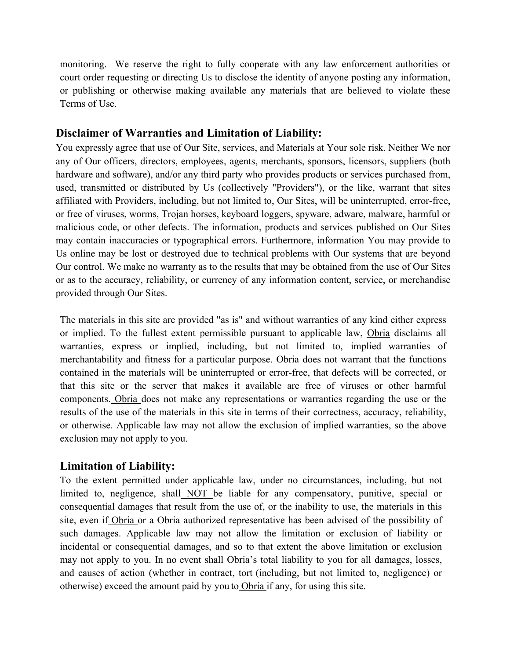monitoring. We reserve the right to fully cooperate with any law enforcement authorities or court order requesting or directing Us to disclose the identity of anyone posting any information, or publishing or otherwise making available any materials that are believed to violate these Terms of Use.

### **Disclaimer of Warranties and Limitation of Liability:**

You expressly agree that use of Our Site, services, and Materials at Your sole risk. Neither We nor any of Our officers, directors, employees, agents, merchants, sponsors, licensors, suppliers (both hardware and software), and/or any third party who provides products or services purchased from, used, transmitted or distributed by Us (collectively "Providers"), or the like, warrant that sites affiliated with Providers, including, but not limited to, Our Sites, will be uninterrupted, error-free, or free of viruses, worms, Trojan horses, keyboard loggers, spyware, adware, malware, harmful or malicious code, or other defects. The information, products and services published on Our Sites may contain inaccuracies or typographical errors. Furthermore, information You may provide to Us online may be lost or destroyed due to technical problems with Our systems that are beyond Our control. We make no warranty as to the results that may be obtained from the use of Our Sites or as to the accuracy, reliability, or currency of any information content, service, or merchandise provided through Our Sites.

The materials in this site are provided "as is" and without warranties of any kind either express or implied. To the fullest extent permissible pursuant to applicable law, Obria disclaims all warranties, express or implied, including, but not limited to, implied warranties of merchantability and fitness for a particular purpose. Obria does not warrant that the functions contained in the materials will be uninterrupted or error-free, that defects will be corrected, or that this site or the server that makes it available are free of viruses or other harmful components. Obria does not make any representations or warranties regarding the use or the results of the use of the materials in this site in terms of their correctness, accuracy, reliability, or otherwise. Applicable law may not allow the exclusion of implied warranties, so the above exclusion may not apply to you.

### **Limitation of Liability:**

To the extent permitted under applicable law, under no circumstances, including, but not limited to, negligence, shall NOT be liable for any compensatory, punitive, special or consequential damages that result from the use of, or the inability to use, the materials in this site, even if Obria or a Obria authorized representative has been advised of the possibility of such damages. Applicable law may not allow the limitation or exclusion of liability or incidental or consequential damages, and so to that extent the above limitation or exclusion may not apply to you. In no event shall Obria's total liability to you for all damages, losses, and causes of action (whether in contract, tort (including, but not limited to, negligence) or otherwise) exceed the amount paid by you to Obria if any, for using this site.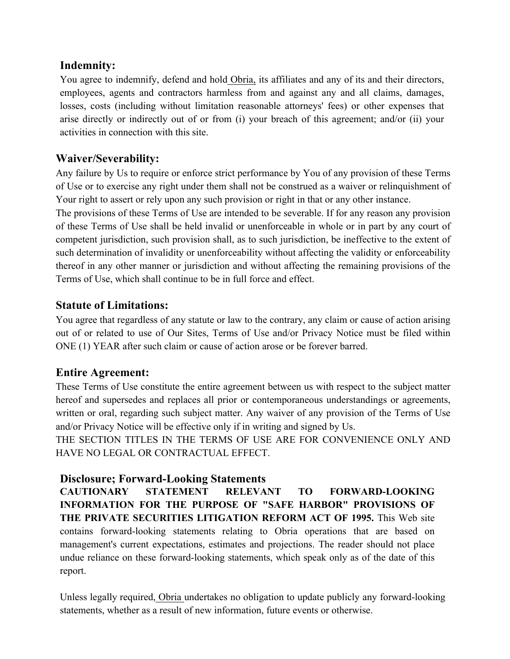### **Indemnity:**

You agree to indemnify, defend and hold Obria, its affiliates and any of its and their directors, employees, agents and contractors harmless from and against any and all claims, damages, losses, costs (including without limitation reasonable attorneys' fees) or other expenses that arise directly or indirectly out of or from (i) your breach of this agreement; and/or (ii) your activities in connection with this site.

# **Waiver/Severability:**

Any failure by Us to require or enforce strict performance by You of any provision of these Terms of Use or to exercise any right under them shall not be construed as a waiver or relinquishment of Your right to assert or rely upon any such provision or right in that or any other instance.

The provisions of these Terms of Use are intended to be severable. If for any reason any provision of these Terms of Use shall be held invalid or unenforceable in whole or in part by any court of competent jurisdiction, such provision shall, as to such jurisdiction, be ineffective to the extent of such determination of invalidity or unenforceability without affecting the validity or enforceability thereof in any other manner or jurisdiction and without affecting the remaining provisions of the Terms of Use, which shall continue to be in full force and effect.

## **Statute of Limitations:**

You agree that regardless of any statute or law to the contrary, any claim or cause of action arising out of or related to use of Our Sites, Terms of Use and/or Privacy Notice must be filed within ONE (1) YEAR after such claim or cause of action arose or be forever barred.

### **Entire Agreement:**

These Terms of Use constitute the entire agreement between us with respect to the subject matter hereof and supersedes and replaces all prior or contemporaneous understandings or agreements, written or oral, regarding such subject matter. Any waiver of any provision of the Terms of Use and/or Privacy Notice will be effective only if in writing and signed by Us.

THE SECTION TITLES IN THE TERMS OF USE ARE FOR CONVENIENCE ONLY AND HAVE NO LEGAL OR CONTRACTUAL EFFECT.

# **Disclosure; Forward-Looking Statements**

**CAUTIONARY STATEMENT RELEVANT TO FORWARD-LOOKING INFORMATION FOR THE PURPOSE OF "SAFE HARBOR" PROVISIONS OF THE PRIVATE SECURITIES LITIGATION REFORM ACT OF 1995.** This Web site contains forward-looking statements relating to Obria operations that are based on management's current expectations, estimates and projections. The reader should not place undue reliance on these forward-looking statements, which speak only as of the date of this report.

Unless legally required, Obria undertakes no obligation to update publicly any forward-looking statements, whether as a result of new information, future events or otherwise.